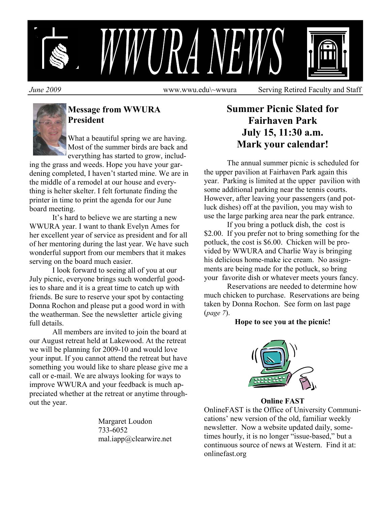

*June 2009* **www.wwu.edu\~wwura** Serving Retired Faculty and Staff



## **Message from WWURA President**

What a beautiful spring we are having. Most of the summer birds are back and everything has started to grow, includ-

ing the grass and weeds. Hope you have your gardening completed, I haven't started mine. We are in the middle of a remodel at our house and everything is helter skelter. I felt fortunate finding the printer in time to print the agenda for our June board meeting.

 It's hard to believe we are starting a new WWURA year. I want to thank Evelyn Ames for her excellent year of service as president and for all of her mentoring during the last year. We have such wonderful support from our members that it makes serving on the board much easier.

 I look forward to seeing all of you at our July picnic, everyone brings such wonderful goodies to share and it is a great time to catch up with friends. Be sure to reserve your spot by contacting Donna Rochon and please put a good word in with the weatherman. See the newsletter article giving full details.

 All members are invited to join the board at our August retreat held at Lakewood. At the retreat we will be planning for 2009-10 and would love your input. If you cannot attend the retreat but have something you would like to share please give me a call or e-mail. We are always looking for ways to improve WWURA and your feedback is much appreciated whether at the retreat or anytime throughout the year.

> Margaret Loudon 733-6052 mal.iapp@clearwire.net

# **Summer Picnic Slated for Fairhaven Park July 15, 11:30 a.m. Mark your calendar!**

The annual summer picnic is scheduled for the upper pavilion at Fairhaven Park again this year. Parking is limited at the upper pavilion with some additional parking near the tennis courts. However, after leaving your passengers (and potluck dishes) off at the pavilion, you may wish to use the large parking area near the park entrance.

 If you bring a potluck dish, the cost is \$2.00. If you prefer not to bring something for the potluck, the cost is \$6.00. Chicken will be provided by WWURA and Charlie Way is bringing his delicious home-make ice cream. No assignments are being made for the potluck, so bring your favorite dish or whatever meets yours fancy.

 Reservations are needed to determine how much chicken to purchase. Reservations are being taken by Donna Rochon. See form on last page (*page 7*).

### **Hope to see you at the picnic!**



**Online FAST** 

OnlineFAST is the Office of University Communications' new version of the old, familiar weekly newsletter. Now a website updated daily, sometimes hourly, it is no longer "issue-based," but a continuous source of news at Western. Find it at: onlinefast.org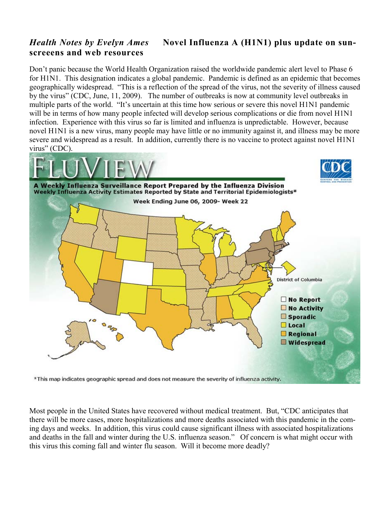## *Health Notes by Evelyn Ames* **Novel Influenza A (H1N1) plus update on sunscreeens and web resources**

Don't panic because the World Health Organization raised the worldwide pandemic alert level to Phase 6 for H1N1. This designation indicates a global pandemic. Pandemic is defined as an epidemic that becomes geographically widespread. "This is a reflection of the spread of the virus, not the severity of illness caused by the virus" (CDC, June, 11, 2009). The number of outbreaks is now at community level outbreaks in multiple parts of the world. "It's uncertain at this time how serious or severe this novel H1N1 pandemic will be in terms of how many people infected will develop serious complications or die from novel H1N1 infection. Experience with this virus so far is limited and influenza is unpredictable. However, because novel H1N1 is a new virus, many people may have little or no immunity against it, and illness may be more severe and widespread as a result. In addition, currently there is no vaccine to protect against novel H1N1 virus" (CDC).



\*This map indicates geographic spread and does not measure the severity of influenza activity.

Most people in the United States have recovered without medical treatment. But, "CDC anticipates that there will be more cases, more hospitalizations and more deaths associated with this pandemic in the coming days and weeks. In addition, this virus could cause significant illness with associated hospitalizations and deaths in the fall and winter during the U.S. influenza season." Of concern is what might occur with this virus this coming fall and winter flu season. Will it become more deadly?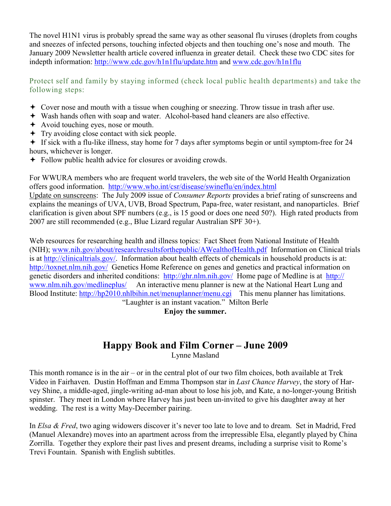The novel H1N1 virus is probably spread the same way as other seasonal flu viruses (droplets from coughs and sneezes of infected persons, touching infected objects and then touching one's nose and mouth. The January 2009 Newsletter health article covered influenza in greater detail. Check these two CDC sites for indepth information: http://www.cdc.gov/h1n1flu/update.htm and www.cdc.gov/h1n1flu

Protect self and family by staying informed (check local public health departments) and take the following steps:

- Cover nose and mouth with a tissue when coughing or sneezing. Throw tissue in trash after use.
- Wash hands often with soap and water. Alcohol-based hand cleaners are also effective.
- Avoid touching eyes, nose or mouth.
- Try avoiding close contact with sick people.
- If sick with a flu-like illness, stay home for 7 days after symptoms begin or until symptom-free for 24 hours, whichever is longer.
- **←** Follow public health advice for closures or avoiding crowds.

For WWURA members who are frequent world travelers, the web site of the World Health Organization offers good information. http://www.who.int/csr/disease/swineflu/en/index.html

Update on sunscreens: The July 2009 issue of *Consumer Reports* provides a brief rating of sunscreens and explains the meanings of UVA, UVB, Broad Spectrum, Papa-free, water resistant, and nanoparticles. Brief clarification is given about SPF numbers (e.g., is 15 good or does one need 50?). High rated products from 2007 are still recommended (e.g., Blue Lizard regular Australian SPF 30+).

Web resources for researching health and illness topics: Fact Sheet from National Institute of Health (NIH); www.nih.gov/about/researchresultsforthepublic/AWealthofHealth.pdf Information on Clinical trials is at http://clinicaltrials.gov/. Information about health effects of chemicals in household products is at: http://toxnet.nlm.nih.gov/ Genetics Home Reference on genes and genetics and practical information on genetic disorders and inherited conditions: http://ghr.nlm.nih.gov/ Home page of Medline is at http:// www.nlm.nih.gov/medlineplus/ An interactive menu planner is new at the National Heart Lung and Blood Institute: http://hp2010.nhlbihin.net/menuplanner/menu.cgi This menu planner has limitations. "Laughter is an instant vacation." Milton Berle

**Enjoy the summer.** 

# **Happy Book and Film Corner – June 2009**

Lynne Masland

This month romance is in the air – or in the central plot of our two film choices, both available at Trek Video in Fairhaven. Dustin Hoffman and Emma Thompson star in *Last Chance Harvey*, the story of Harvey Shine, a middle-aged, jingle-writing ad-man about to lose his job, and Kate, a no-longer-young British spinster. They meet in London where Harvey has just been un-invited to give his daughter away at her wedding. The rest is a witty May-December pairing.

In *Elsa & Fred*, two aging widowers discover it's never too late to love and to dream. Set in Madrid, Fred (Manuel Alexandre) moves into an apartment across from the irrepressible Elsa, elegantly played by China Zorrilla. Together they explore their past lives and present dreams, including a surprise visit to Rome's Trevi Fountain. Spanish with English subtitles.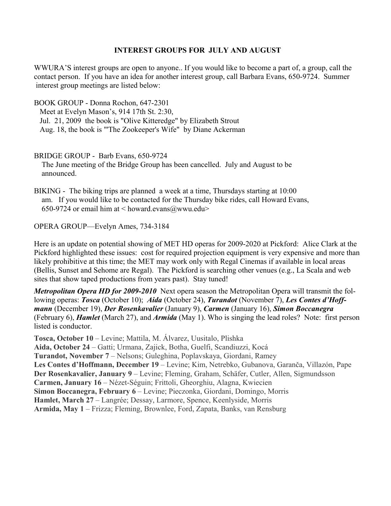#### **INTEREST GROUPS FOR JULY AND AUGUST**

WWURA'S interest groups are open to anyone.. If you would like to become a part of, a group, call the contact person. If you have an idea for another interest group, call Barbara Evans, 650-9724. Summer interest group meetings are listed below:

BOOK GROUP - Donna Rochon, 647-2301

 Meet at Evelyn Mason's, 914 17th St. 2:30, Jul. 21, 2009 the book is "Olive Kitteredge" by Elizabeth Strout Aug. 18, the book is "'The Zookeeper's Wife" by Diane Ackerman

BRIDGE GROUP - Barb Evans, 650-9724 The June meeting of the Bridge Group has been cancelled. July and August to be announced.

BIKING - The biking trips are planned a week at a time, Thursdays starting at 10:00 am. If you would like to be contacted for the Thursday bike rides, call Howard Evans, 650-9724 or email him at  $\leq$  howard.evans@wwu.edu>

OPERA GROUP—Evelyn Ames, 734-3184

Here is an update on potential showing of MET HD operas for 2009-2020 at Pickford: Alice Clark at the Pickford highlighted these issues: cost for required projection equipment is very expensive and more than likely prohibitive at this time; the MET may work only with Regal Cinemas if available in local areas (Bellis, Sunset and Sehome are Regal). The Pickford is searching other venues (e.g., La Scala and web sites that show taped productions from years past). Stay tuned!

*Metropolitan Opera HD for 2009-2010* Next opera season the Metropolitan Opera will transmit the following operas: *Tosca* (October 10); *Aida* (October 24), *Turandot* (November 7), *Les Contes d'Hoffmann* (December 19), *Der Rosenkavalier* (January 9), *Carmen* (January 16), *Simon Boccanegra* (February 6), *Hamlet* (March 27), and *Armida* (May 1). Who is singing the lead roles? Note: first person listed is conductor.

**Tosca, October 10** – Levine; Mattila, M. Álvarez, Uusitalo, Plishka

**Aida, October 24** – Gatti; Urmana, Zajick, Botha, Guelfi, Scandiuzzi, Kocá **Turandot, November 7** – Nelsons; Guleghina, Poplavskaya, Giordani, Ramey **Les Contes d'Hoffmann, December 19** – Levine; Kim, Netrebko, Gubanova, Garanča, Villazón, Pape **Der Rosenkavalier, January 9** – Levine; Fleming, Graham, Schäfer, Cutler, Allen, Sigmundsson **Carmen, January 16** – Nézet-Séguin; Frittoli, Gheorghiu, Alagna, Kwiecien **Simon Boccanegra, February 6** – Levine; Pieczonka, Giordani, Domingo, Morris **Hamlet, March 27** – Langrée; Dessay, Larmore, Spence, Keenlyside, Morris **Armida, May 1** – Frizza; Fleming, Brownlee, Ford, Zapata, Banks, van Rensburg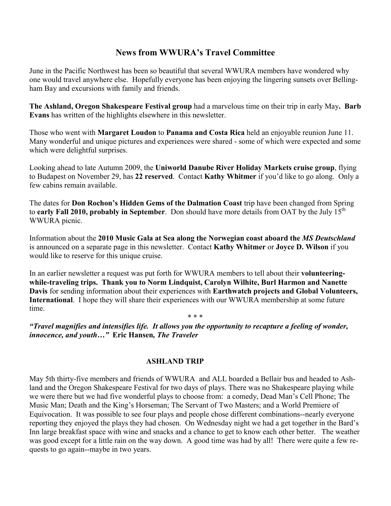### **News from WWURA's Travel Committee**

June in the Pacific Northwest has been so beautiful that several WWURA members have wondered why one would travel anywhere else. Hopefully everyone has been enjoying the lingering sunsets over Bellingham Bay and excursions with family and friends.

**The Ashland, Oregon Shakespeare Festival group** had a marvelous time on their trip in early May**. Barb Evans** has written of the highlights elsewhere in this newsletter.

Those who went with **Margaret Loudon** to **Panama and Costa Rica** held an enjoyable reunion June 11. Many wonderful and unique pictures and experiences were shared - some of which were expected and some which were delightful surprises.

Looking ahead to late Autumn 2009, the **Uniworld Danube River Holiday Markets cruise group**, flying to Budapest on November 29, has **22 reserved**. Contact **Kathy Whitmer** if you'd like to go along. Only a few cabins remain available.

The dates for **Don Rochon's Hidden Gems of the Dalmation Coast** trip have been changed from Spring to **early Fall 2010, probably in September**. Don should have more details from OAT by the July 15<sup>th</sup> WWURA picnic.

Information about the **2010 Music Gala at Sea along the Norwegian coast aboard the** *MS Deutschland*  is announced on a separate page in this newsletter. Contact **Kathy Whitmer** or **Joyce D. Wilson** if you would like to reserve for this unique cruise.

In an earlier newsletter a request was put forth for WWURA members to tell about their **volunteeringwhile-traveling trips. Thank you to Norm Lindquist, Carolyn Wilhite, Burl Harmon and Nanette Davis** for sending information about their experiences with **Earthwatch projects and Global Volunteers, International**. I hope they will share their experiences with our WWURA membership at some future time.

\* \* \*

*"Travel magnifies and intensifies life. It allows you the opportunity to recapture a feeling of wonder, innocence, and youth…"* **Eric Hansen***, The Traveler* 

#### **ASHLAND TRIP**

May 5th thirty-five members and friends of WWURA and ALL boarded a Bellair bus and headed to Ashland and the Oregon Shakespeare Festival for two days of plays. There was no Shakespeare playing while we were there but we had five wonderful plays to choose from: a comedy, Dead Man's Cell Phone; The Music Man; Death and the King's Horseman; The Servant of Two Masters; and a World Premiere of Equivocation. It was possible to see four plays and people chose different combinations--nearly everyone reporting they enjoyed the plays they had chosen. On Wednesday night we had a get together in the Bard's Inn large breakfast space with wine and snacks and a chance to get to know each other better. The weather was good except for a little rain on the way down. A good time was had by all! There were quite a few requests to go again--maybe in two years.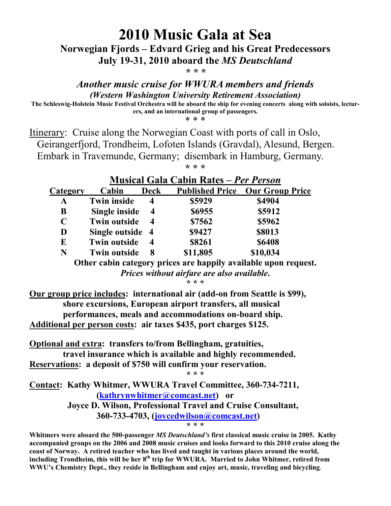**2010 Music Gala at Sea** 

**Norwegian Fjords – Edvard Grieg and his Great Predecessors** 

**July 19-31, 2010 aboard the** *MS Deutschland* 

*\* \* \** 

### *Another music cruise for WWURA members and friends (Western Washington University Retirement Association)*

**The Schleswig-Holstein Music Festival Orchestra will be aboard the ship for evening concerts along with soloists, lecturers, and an international group of passengers.** 

\* \* \*

Itinerary: Cruise along the Norwegian Coast with ports of call in Oslo, Geirangerfjord, Trondheim, Lofoten Islands (Gravdal), Alesund, Bergen. Embark in Travemunde, Germany; disembark in Hamburg, Germany.

**\* \* \*** 

|          | <b>Musical Gala Cabin Rates – Per Person</b> |                         |          |                                        |  |
|----------|----------------------------------------------|-------------------------|----------|----------------------------------------|--|
| Category | Cabin                                        | <b>Deck</b>             |          | <b>Published Price Our Group Price</b> |  |
| A        | <b>Twin inside</b>                           | 4                       | \$5929   | \$4904                                 |  |
| B        | Single inside                                | $\overline{\mathbf{4}}$ | \$6955   | \$5912                                 |  |
| C        | <b>Twin outside</b>                          | $\boldsymbol{4}$        | \$7562   | \$5962                                 |  |
| D        | Single outside 4                             |                         | \$9427   | \$8013                                 |  |
| E        | <b>Twin outside</b>                          | $\overline{\mathbf{4}}$ | \$8261   | \$6408                                 |  |
| N        | <b>Twin outside</b>                          | 8                       | \$11,805 | \$10,034                               |  |
|          |                                              |                         |          |                                        |  |

## **Musical Gala Cabin Rates** *– Per Person*

**Other cabin category prices are happily available upon request.**  *Prices without airfare are also available***.** 

**\* \* \*** 

**Our group price includes: international air (add-on from Seattle is \$99), shore excursions, European airport transfers, all musical performances, meals and accommodations on-board ship. Additional per person costs: air taxes \$435, port charges \$125.** 

**Optional and extra: transfers to/from Bellingham, gratuities, travel insurance which is available and highly recommended. Reservations: a deposit of \$750 will confirm your reservation.** 

**\* \* \* Contact: Kathy Whitmer, WWURA Travel Committee, 360-734-7211, (kathrynwhitmer@comcast.net) or Joyce D. Wilson, Professional Travel and Cruise Consultant, 360-733-4703, (joycedwilson@comcast.net)**  \* \* \*

**Whitmers were aboard the 500-passenger** *MS Deutschland's* **first classical music cruise in 2005. Kathy accompanied groups on the 2006 and 2008 music cruises and looks forward to this 2010 cruise along the coast of Norway. A retired teacher who has lived and taught in various places around the world,**  including Trondheim, this will be her 8<sup>th</sup> trip for WWURA. Married to John Whitmer, retired from **WWU's Chemistry Dept., they reside in Bellingham and enjoy art, music, traveling and bicycling**.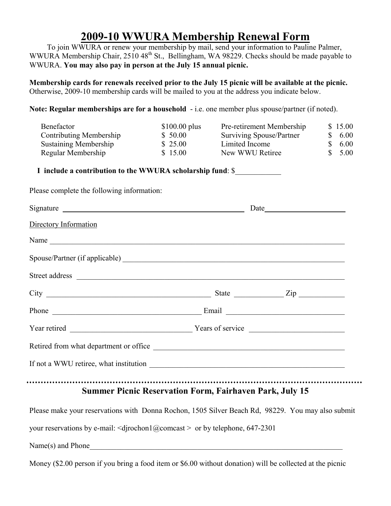# **2009-10 WWURA Membership Renewal Form**

 To join WWURA or renew your membership by mail, send your information to Pauline Palmer, WWURA Membership Chair, 2510 48<sup>th</sup> St., Bellingham, WA 98229. Checks should be made payable to WWURA. **You may also pay in person at the July 15 annual picnic.**

**Membership cards for renewals received prior to the July 15 picnic will be available at the picnic.** Otherwise, 2009-10 membership cards will be mailed to you at the address you indicate below.

**Note: Regular memberships are for a household** - i.e. one member plus spouse/partner (if noted).

| Benefactor                   | $$100.00$ plus | <b>Pre-retirement Membership</b> | \$15.00 |
|------------------------------|----------------|----------------------------------|---------|
| Contributing Membership      | \$50.00        | <b>Surviving Spouse/Partner</b>  | \$6.00  |
| <b>Sustaining Membership</b> | \$25.00        | Limited Income                   | \$6.00  |
| Regular Membership           | \$15.00        | New WWU Retiree                  | \$5.00  |

**I include a contribution to the WWURA scholarship fund**: \$\_\_\_\_\_\_\_\_\_\_\_\_

Please complete the following information:

| Signature experience and the set of the set of the set of the set of the set of the set of the set of the set of the set of the set of the set of the set of the set of the set of the set of the set of the set of the set of |                                                                |  |  |  |  |
|--------------------------------------------------------------------------------------------------------------------------------------------------------------------------------------------------------------------------------|----------------------------------------------------------------|--|--|--|--|
| Directory Information                                                                                                                                                                                                          |                                                                |  |  |  |  |
| Name                                                                                                                                                                                                                           |                                                                |  |  |  |  |
|                                                                                                                                                                                                                                |                                                                |  |  |  |  |
|                                                                                                                                                                                                                                |                                                                |  |  |  |  |
| $City$ $\rule{1em}{0.15mm}$ $\qquad \qquad \text{State}$ $\rule{1em}{0.15mm}$ $\qquad \qquad \text{Zip}$ $\rule{1em}{0.15mm}$                                                                                                  |                                                                |  |  |  |  |
|                                                                                                                                                                                                                                |                                                                |  |  |  |  |
|                                                                                                                                                                                                                                |                                                                |  |  |  |  |
| Retired from what department or office                                                                                                                                                                                         |                                                                |  |  |  |  |
|                                                                                                                                                                                                                                |                                                                |  |  |  |  |
|                                                                                                                                                                                                                                | <b>Summer Picnic Reservation Form, Fairhaven Park, July 15</b> |  |  |  |  |
| Please make your reservations with Donna Rochon, 1505 Silver Beach Rd, 98229. You may also submit                                                                                                                              |                                                                |  |  |  |  |
| your reservations by e-mail: $\langle$ djrochon1@comcast > or by telephone, 647-2301                                                                                                                                           |                                                                |  |  |  |  |
|                                                                                                                                                                                                                                |                                                                |  |  |  |  |

Money (\$2.00 person if you bring a food item or \$6.00 without donation) will be collected at the picnic